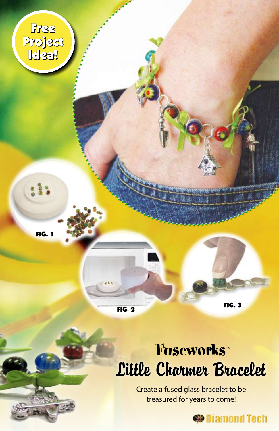

FIG. 1

FIG. 2 FIG. 3

# Little Charmer Bracelet Fuseworks™

Create a fused glass bracelet to be treasured for years to come!